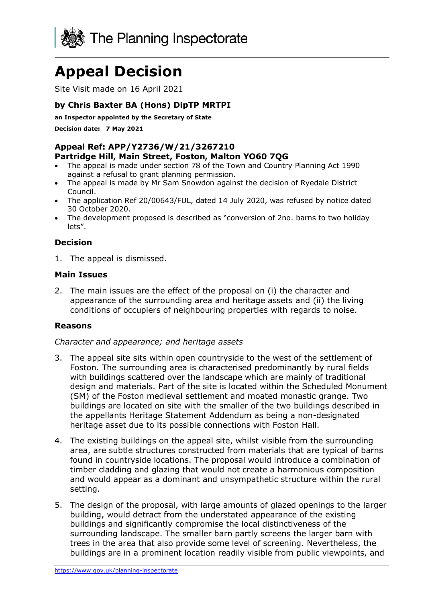

# **Appeal Decision**

Site Visit made on 16 April 2021

# **by Chris Baxter BA (Hons) DipTP MRTPI**

**an Inspector appointed by the Secretary of State** 

**Decision date: 7 May 2021**

## **Appeal Ref: APP/Y2736/W/21/3267210 Partridge Hill, Main Street, Foston, Malton YO60 7QG**

- The appeal is made under section 78 of the Town and Country Planning Act 1990 against a refusal to grant planning permission.
- The appeal is made by Mr Sam Snowdon against the decision of Ryedale District Council.
- The application Ref 20/00643/FUL, dated 14 July 2020, was refused by notice dated 30 October 2020.
- The development proposed is described as "conversion of 2no. barns to two holiday lets".

# **Decision**

1. The appeal is dismissed.

## **Main Issues**

2. The main issues are the effect of the proposal on (i) the character and appearance of the surrounding area and heritage assets and (ii) the living conditions of occupiers of neighbouring properties with regards to noise.

#### **Reasons**

#### *Character and appearance; and heritage assets*

- 3. The appeal site sits within open countryside to the west of the settlement of Foston. The surrounding area is characterised predominantly by rural fields with buildings scattered over the landscape which are mainly of traditional design and materials. Part of the site is located within the Scheduled Monument (SM) of the Foston medieval settlement and moated monastic grange. Two buildings are located on site with the smaller of the two buildings described in the appellants Heritage Statement Addendum as being a non-designated heritage asset due to its possible connections with Foston Hall.
- 4. The existing buildings on the appeal site, whilst visible from the surrounding area, are subtle structures constructed from materials that are typical of barns found in countryside locations. The proposal would introduce a combination of timber cladding and glazing that would not create a harmonious composition and would appear as a dominant and unsympathetic structure within the rural setting.
- 5. The design of the proposal, with large amounts of glazed openings to the larger building, would detract from the understated appearance of the existing buildings and significantly compromise the local distinctiveness of the surrounding landscape. The smaller barn partly screens the larger barn with trees in the area that also provide some level of screening. Nevertheless, the buildings are in a prominent location readily visible from public viewpoints, and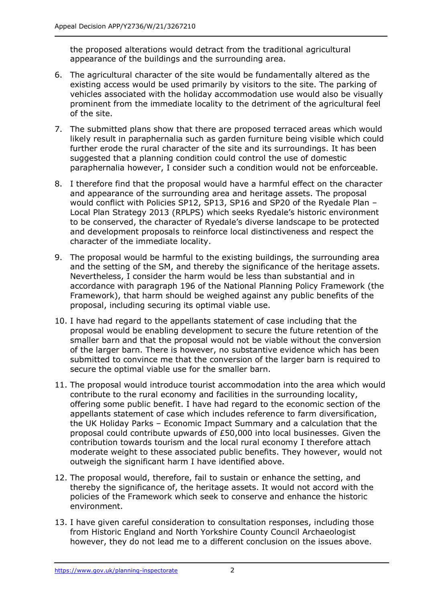the proposed alterations would detract from the traditional agricultural appearance of the buildings and the surrounding area.

- 6. The agricultural character of the site would be fundamentally altered as the existing access would be used primarily by visitors to the site. The parking of vehicles associated with the holiday accommodation use would also be visually prominent from the immediate locality to the detriment of the agricultural feel of the site.
- 7. The submitted plans show that there are proposed terraced areas which would likely result in paraphernalia such as garden furniture being visible which could further erode the rural character of the site and its surroundings. It has been suggested that a planning condition could control the use of domestic paraphernalia however, I consider such a condition would not be enforceable.
- 8. I therefore find that the proposal would have a harmful effect on the character and appearance of the surrounding area and heritage assets. The proposal would conflict with Policies SP12, SP13, SP16 and SP20 of the Ryedale Plan – Local Plan Strategy 2013 (RPLPS) which seeks Ryedale's historic environment to be conserved, the character of Ryedale's diverse landscape to be protected and development proposals to reinforce local distinctiveness and respect the character of the immediate locality.
- 9. The proposal would be harmful to the existing buildings, the surrounding area and the setting of the SM, and thereby the significance of the heritage assets. Nevertheless, I consider the harm would be less than substantial and in accordance with paragraph 196 of the National Planning Policy Framework (the Framework), that harm should be weighed against any public benefits of the proposal, including securing its optimal viable use.
- 10. I have had regard to the appellants statement of case including that the proposal would be enabling development to secure the future retention of the smaller barn and that the proposal would not be viable without the conversion of the larger barn. There is however, no substantive evidence which has been submitted to convince me that the conversion of the larger barn is required to secure the optimal viable use for the smaller barn.
- 11. The proposal would introduce tourist accommodation into the area which would contribute to the rural economy and facilities in the surrounding locality, offering some public benefit. I have had regard to the economic section of the appellants statement of case which includes reference to farm diversification, the UK Holiday Parks – Economic Impact Summary and a calculation that the proposal could contribute upwards of £50,000 into local businesses. Given the contribution towards tourism and the local rural economy I therefore attach moderate weight to these associated public benefits. They however, would not outweigh the significant harm I have identified above.
- 12. The proposal would, therefore, fail to sustain or enhance the setting, and thereby the significance of, the heritage assets. It would not accord with the policies of the Framework which seek to conserve and enhance the historic environment.
- 13. I have given careful consideration to consultation responses, including those from Historic England and North Yorkshire County Council Archaeologist however, they do not lead me to a different conclusion on the issues above.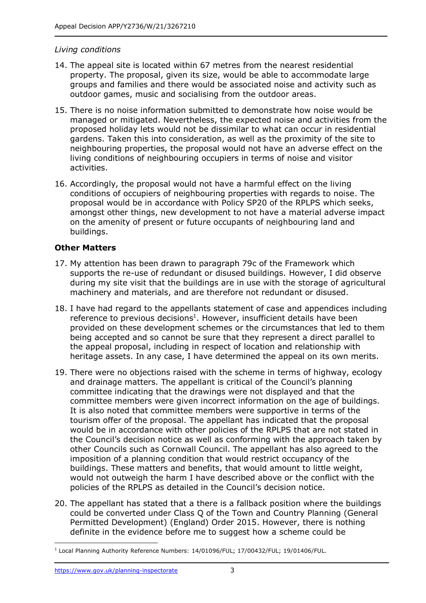## *Living conditions*

- 14. The appeal site is located within 67 metres from the nearest residential property. The proposal, given its size, would be able to accommodate large groups and families and there would be associated noise and activity such as outdoor games, music and socialising from the outdoor areas.
- 15. There is no noise information submitted to demonstrate how noise would be managed or mitigated. Nevertheless, the expected noise and activities from the proposed holiday lets would not be dissimilar to what can occur in residential gardens. Taken this into consideration, as well as the proximity of the site to neighbouring properties, the proposal would not have an adverse effect on the living conditions of neighbouring occupiers in terms of noise and visitor activities.
- 16. Accordingly, the proposal would not have a harmful effect on the living conditions of occupiers of neighbouring properties with regards to noise. The proposal would be in accordance with Policy SP20 of the RPLPS which seeks, amongst other things, new development to not have a material adverse impact on the amenity of present or future occupants of neighbouring land and buildings.

# **Other Matters**

- 17. My attention has been drawn to paragraph 79c of the Framework which supports the re-use of redundant or disused buildings. However, I did observe during my site visit that the buildings are in use with the storage of agricultural machinery and materials, and are therefore not redundant or disused.
- 18. I have had regard to the appellants statement of case and appendices including reference to previous decisions<sup>1</sup>. However, insufficient details have been provided on these development schemes or the circumstances that led to them being accepted and so cannot be sure that they represent a direct parallel to the appeal proposal, including in respect of location and relationship with heritage assets. In any case, I have determined the appeal on its own merits.
- 19. There were no objections raised with the scheme in terms of highway, ecology and drainage matters. The appellant is critical of the Council's planning committee indicating that the drawings were not displayed and that the committee members were given incorrect information on the age of buildings. It is also noted that committee members were supportive in terms of the tourism offer of the proposal. The appellant has indicated that the proposal would be in accordance with other policies of the RPLPS that are not stated in the Council's decision notice as well as conforming with the approach taken by other Councils such as Cornwall Council. The appellant has also agreed to the imposition of a planning condition that would restrict occupancy of the buildings. These matters and benefits, that would amount to little weight, would not outweigh the harm I have described above or the conflict with the policies of the RPLPS as detailed in the Council's decision notice.
- 20. The appellant has stated that a there is a fallback position where the buildings could be converted under Class Q of the Town and Country Planning (General Permitted Development) (England) Order 2015. However, there is nothing definite in the evidence before me to suggest how a scheme could be

<sup>&</sup>lt;sup>1</sup> Local Planning Authority Reference Numbers: 14/01096/FUL; 17/00432/FUL; 19/01406/FUL.